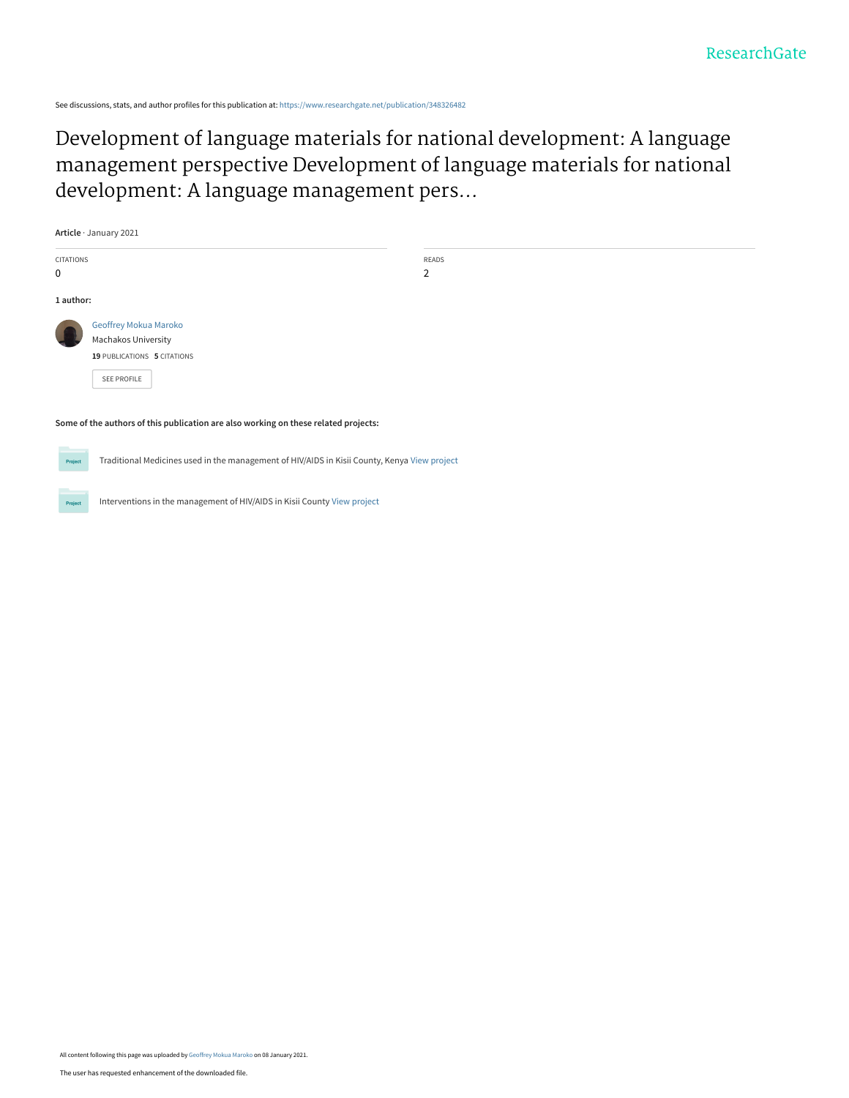See discussions, stats, and author profiles for this publication at: [https://www.researchgate.net/publication/348326482](https://www.researchgate.net/publication/348326482_Development_of_language_materials_for_national_development_A_language_management_perspective_Development_of_language_materials_for_national_development_A_language_management_perspective?enrichId=rgreq-4a71ce989c7cfbbfd5c72c4e184dd0bf-XXX&enrichSource=Y292ZXJQYWdlOzM0ODMyNjQ4MjtBUzo5Nzc2MzY3Njc1ODAxNjdAMTYxMDA5ODE3NzkxOA%3D%3D&el=1_x_2&_esc=publicationCoverPdf)

Development of language materials for national development: A language [management perspective Development of language materials for national](https://www.researchgate.net/publication/348326482_Development_of_language_materials_for_national_development_A_language_management_perspective_Development_of_language_materials_for_national_development_A_language_management_perspective?enrichId=rgreq-4a71ce989c7cfbbfd5c72c4e184dd0bf-XXX&enrichSource=Y292ZXJQYWdlOzM0ODMyNjQ4MjtBUzo5Nzc2MzY3Njc1ODAxNjdAMTYxMDA5ODE3NzkxOA%3D%3D&el=1_x_3&_esc=publicationCoverPdf) development: A language management pers...

| Article · January 2021                                                              |                             |                         |  |  |
|-------------------------------------------------------------------------------------|-----------------------------|-------------------------|--|--|
| CITATIONS<br>0                                                                      |                             | READS<br>$\overline{2}$ |  |  |
| 1 author:                                                                           |                             |                         |  |  |
|                                                                                     | Geoffrey Mokua Maroko       |                         |  |  |
|                                                                                     | <b>Machakos University</b>  |                         |  |  |
|                                                                                     | 19 PUBLICATIONS 5 CITATIONS |                         |  |  |
|                                                                                     | SEE PROFILE                 |                         |  |  |
|                                                                                     |                             |                         |  |  |
| Some of the authors of this publication are also working on these related projects: |                             |                         |  |  |
| <b>Contract Contract Contract</b>                                                   |                             |                         |  |  |

Traditional Medicines used in the management of HIV/AIDS in Kisii County, Kenya [View project](https://www.researchgate.net/project/Traditional-Medicines-used-in-the-management-of-HIV-AIDS-in-Kisii-County-Kenya?enrichId=rgreq-4a71ce989c7cfbbfd5c72c4e184dd0bf-XXX&enrichSource=Y292ZXJQYWdlOzM0ODMyNjQ4MjtBUzo5Nzc2MzY3Njc1ODAxNjdAMTYxMDA5ODE3NzkxOA%3D%3D&el=1_x_9&_esc=publicationCoverPdf)

Interventions in the management of HIV/AIDS in Kisii County [View project](https://www.researchgate.net/project/Interventions-in-the-management-of-HIV-AIDS-in-Kisii-County?enrichId=rgreq-4a71ce989c7cfbbfd5c72c4e184dd0bf-XXX&enrichSource=Y292ZXJQYWdlOzM0ODMyNjQ4MjtBUzo5Nzc2MzY3Njc1ODAxNjdAMTYxMDA5ODE3NzkxOA%3D%3D&el=1_x_9&_esc=publicationCoverPdf)

Project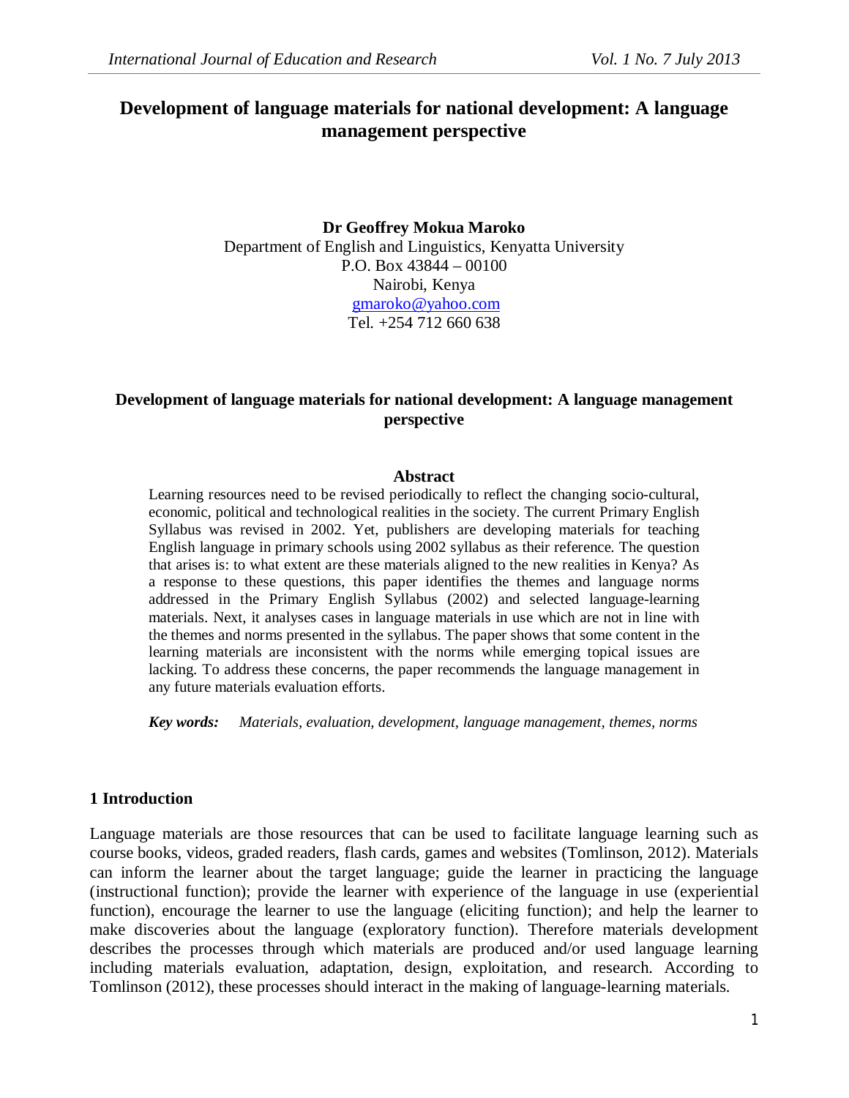# **Development of language materials for national development: A language management perspective**

### **Dr Geoffrey Mokua Maroko** Department of English and Linguistics, Kenyatta University P.O. Box 43844 – 00100 Nairobi, Kenya gmaroko@yahoo.com Tel. +254 712 660 638

### **Development of language materials for national development: A language management perspective**

#### **Abstract**

Learning resources need to be revised periodically to reflect the changing socio-cultural, economic, political and technological realities in the society. The current Primary English Syllabus was revised in 2002. Yet, publishers are developing materials for teaching English language in primary schools using 2002 syllabus as their reference. The question that arises is: to what extent are these materials aligned to the new realities in Kenya? As a response to these questions, this paper identifies the themes and language norms addressed in the Primary English Syllabus (2002) and selected language-learning materials. Next, it analyses cases in language materials in use which are not in line with the themes and norms presented in the syllabus. The paper shows that some content in the learning materials are inconsistent with the norms while emerging topical issues are lacking. To address these concerns, the paper recommends the language management in any future materials evaluation efforts.

*Key words: Materials, evaluation, development, language management, themes, norms*

#### **1 Introduction**

Language materials are those resources that can be used to facilitate language learning such as course books, videos, graded readers, flash cards, games and websites (Tomlinson, 2012). Materials can inform the learner about the target language; guide the learner in practicing the language (instructional function); provide the learner with experience of the language in use (experiential function), encourage the learner to use the language (eliciting function); and help the learner to make discoveries about the language (exploratory function). Therefore materials development describes the processes through which materials are produced and/or used language learning including materials evaluation, adaptation, design, exploitation, and research. According to Tomlinson (2012), these processes should interact in the making of language-learning materials.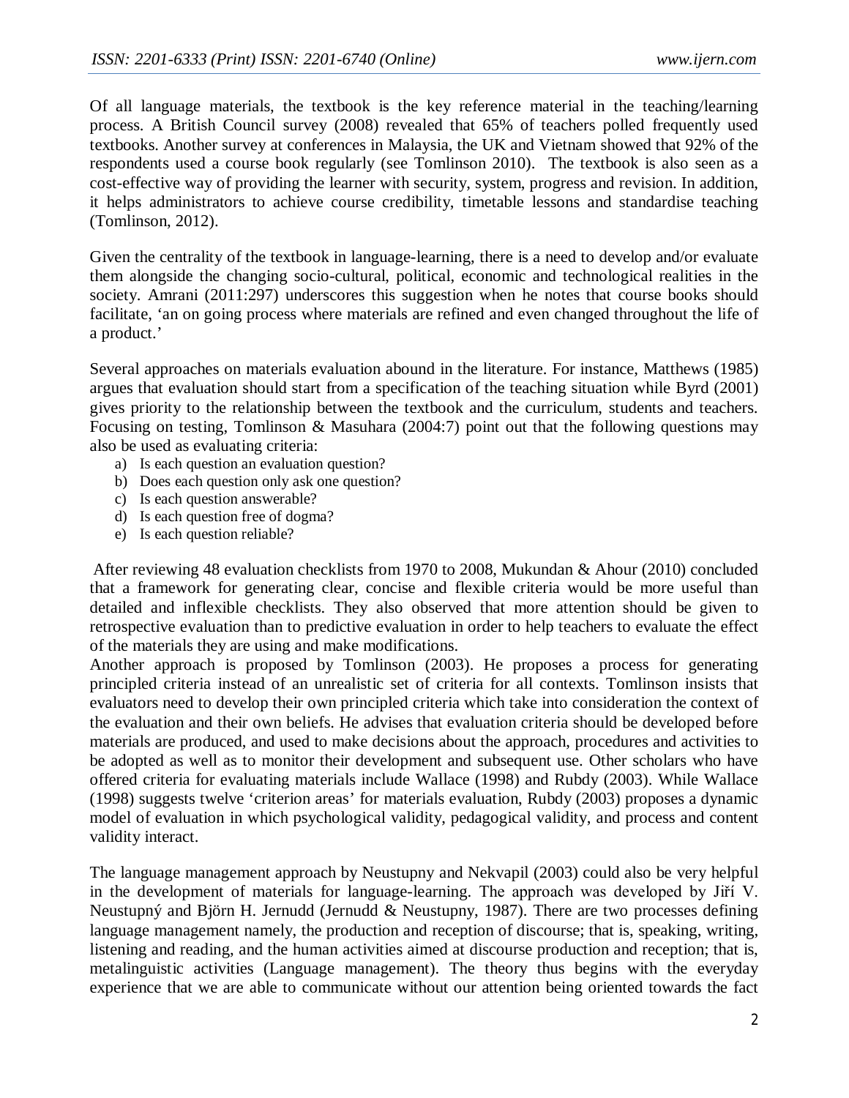Of all language materials, the textbook is the key reference material in the teaching/learning process. A British Council survey (2008) revealed that 65% of teachers polled frequently used textbooks. Another survey at conferences in Malaysia, the UK and Vietnam showed that 92% of the respondents used a course book regularly (see Tomlinson 2010). The textbook is also seen as a cost-effective way of providing the learner with security, system, progress and revision. In addition, it helps administrators to achieve course credibility, timetable lessons and standardise teaching (Tomlinson, 2012).

Given the centrality of the textbook in language-learning, there is a need to develop and/or evaluate them alongside the changing socio-cultural, political, economic and technological realities in the society. Amrani (2011:297) underscores this suggestion when he notes that course books should facilitate, 'an on going process where materials are refined and even changed throughout the life of a product.'

Several approaches on materials evaluation abound in the literature. For instance, Matthews (1985) argues that evaluation should start from a specification of the teaching situation while Byrd (2001) gives priority to the relationship between the textbook and the curriculum, students and teachers. Focusing on testing, Tomlinson & Masuhara (2004:7) point out that the following questions may also be used as evaluating criteria:

- a) Is each question an evaluation question?
- b) Does each question only ask one question?
- c) Is each question answerable?
- d) Is each question free of dogma?
- e) Is each question reliable?

After reviewing 48 evaluation checklists from 1970 to 2008, Mukundan & Ahour (2010) concluded that a framework for generating clear, concise and flexible criteria would be more useful than detailed and inflexible checklists. They also observed that more attention should be given to retrospective evaluation than to predictive evaluation in order to help teachers to evaluate the effect of the materials they are using and make modifications.

Another approach is proposed by Tomlinson (2003). He proposes a process for generating principled criteria instead of an unrealistic set of criteria for all contexts. Tomlinson insists that evaluators need to develop their own principled criteria which take into consideration the context of the evaluation and their own beliefs. He advises that evaluation criteria should be developed before materials are produced, and used to make decisions about the approach, procedures and activities to be adopted as well as to monitor their development and subsequent use. Other scholars who have offered criteria for evaluating materials include Wallace (1998) and Rubdy (2003). While Wallace (1998) suggests twelve 'criterion areas' for materials evaluation, Rubdy (2003) proposes a dynamic model of evaluation in which psychological validity, pedagogical validity, and process and content validity interact.

The language management approach by Neustupny and Nekvapil (2003) could also be very helpful in the development of materials for language-learning. The approach was developed by Jiří V. Neustupný and Björn H. Jernudd (Jernudd & Neustupny, 1987). There are two processes defining language management namely, the production and reception of discourse; that is, speaking, writing, listening and reading, and the human activities aimed at discourse production and reception; that is, metalinguistic activities (Language management). The theory thus begins with the everyday experience that we are able to communicate without our attention being oriented towards the fact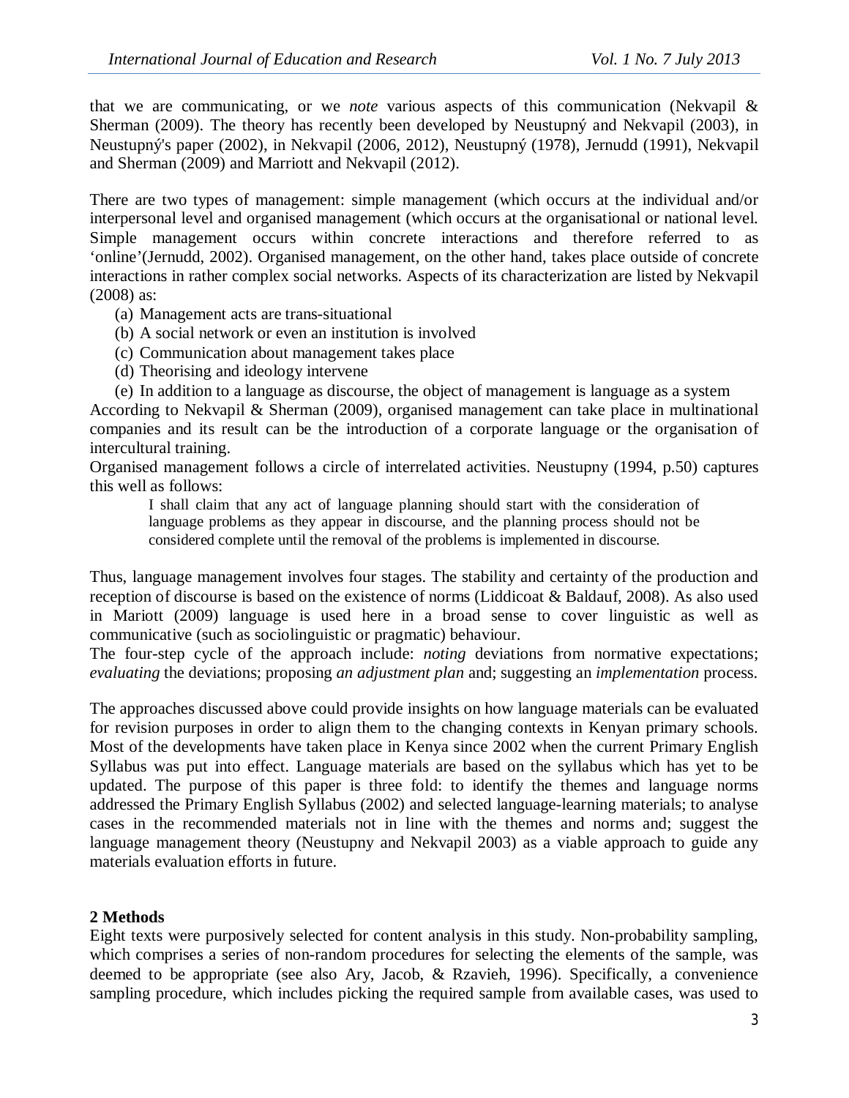that we are communicating, or we *note* various aspects of this communication (Nekvapil & Sherman (2009). The theory has recently been developed by Neustupný and Nekvapil (2003), in Neustupný's paper (2002), in Nekvapil (2006, 2012), Neustupný (1978), Jernudd (1991), Nekvapil and Sherman (2009) and Marriott and Nekvapil (2012).

There are two types of management: simple management (which occurs at the individual and/or interpersonal level and organised management (which occurs at the organisational or national level. Simple management occurs within concrete interactions and therefore referred to as 'online'(Jernudd, 2002). Organised management, on the other hand, takes place outside of concrete interactions in rather complex social networks. Aspects of its characterization are listed by Nekvapil (2008) as:

- (a) Management acts are trans-situational
- (b) A social network or even an institution is involved
- (c) Communication about management takes place
- (d) Theorising and ideology intervene

(e) In addition to a language as discourse, the object of management is language as a system According to Nekvapil & Sherman (2009), organised management can take place in multinational companies and its result can be the introduction of a corporate language or the organisation of intercultural training.

Organised management follows a circle of interrelated activities. Neustupny (1994, p.50) captures this well as follows:

I shall claim that any act of language planning should start with the consideration of language problems as they appear in discourse, and the planning process should not be considered complete until the removal of the problems is implemented in discourse.

Thus, language management involves four stages. The stability and certainty of the production and reception of discourse is based on the existence of norms (Liddicoat & Baldauf, 2008). As also used in Mariott (2009) language is used here in a broad sense to cover linguistic as well as communicative (such as sociolinguistic or pragmatic) behaviour.

The four-step cycle of the approach include: *noting* deviations from normative expectations; *evaluating* the deviations; proposing *an adjustment plan* and; suggesting an *implementation* process.

The approaches discussed above could provide insights on how language materials can be evaluated for revision purposes in order to align them to the changing contexts in Kenyan primary schools. Most of the developments have taken place in Kenya since 2002 when the current Primary English Syllabus was put into effect. Language materials are based on the syllabus which has yet to be updated. The purpose of this paper is three fold: to identify the themes and language norms addressed the Primary English Syllabus (2002) and selected language-learning materials; to analyse cases in the recommended materials not in line with the themes and norms and; suggest the language management theory (Neustupny and Nekvapil 2003) as a viable approach to guide any materials evaluation efforts in future.

# **2 Methods**

Eight texts were purposively selected for content analysis in this study. Non-probability sampling, which comprises a series of non-random procedures for selecting the elements of the sample, was deemed to be appropriate (see also Ary, Jacob, & Rzavieh, 1996). Specifically, a convenience sampling procedure, which includes picking the required sample from available cases, was used to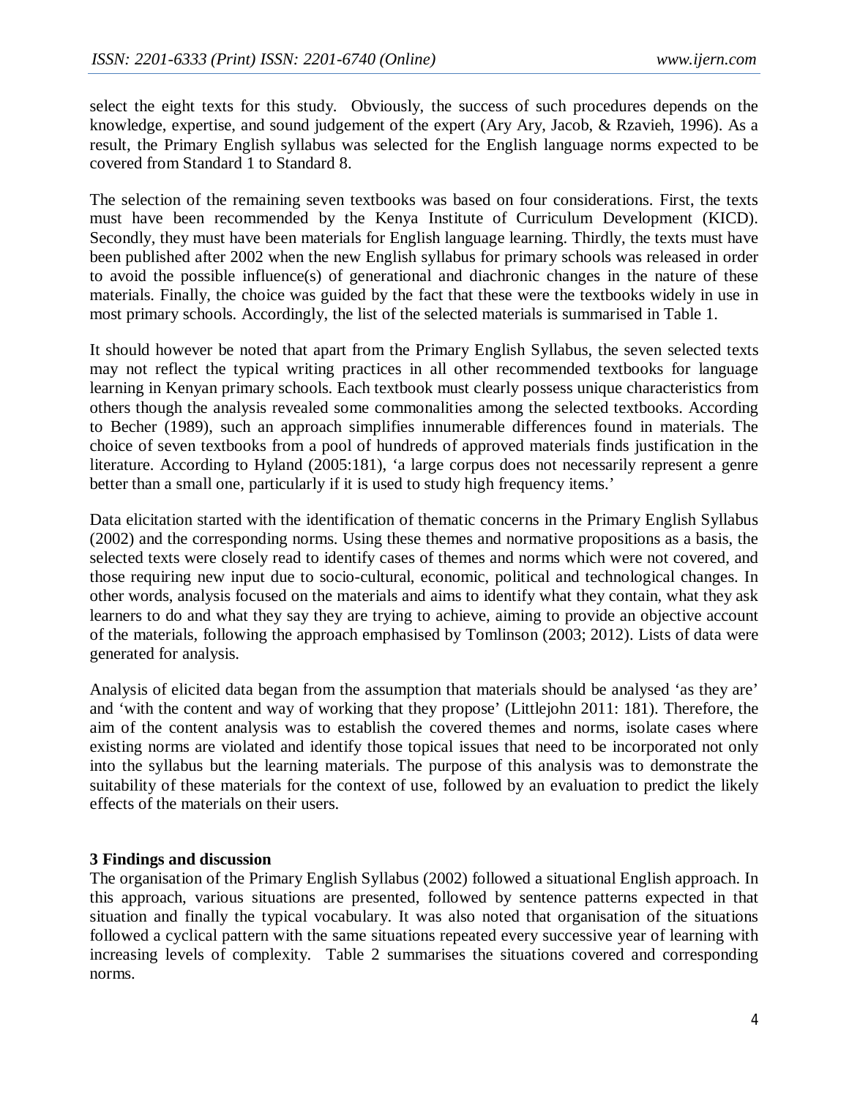select the eight texts for this study. Obviously, the success of such procedures depends on the knowledge, expertise, and sound judgement of the expert (Ary Ary, Jacob, & Rzavieh, 1996). As a result, the Primary English syllabus was selected for the English language norms expected to be covered from Standard 1 to Standard 8.

The selection of the remaining seven textbooks was based on four considerations. First, the texts must have been recommended by the Kenya Institute of Curriculum Development (KICD). Secondly, they must have been materials for English language learning. Thirdly, the texts must have been published after 2002 when the new English syllabus for primary schools was released in order to avoid the possible influence(s) of generational and diachronic changes in the nature of these materials. Finally, the choice was guided by the fact that these were the textbooks widely in use in most primary schools. Accordingly, the list of the selected materials is summarised in Table 1.

It should however be noted that apart from the Primary English Syllabus, the seven selected texts may not reflect the typical writing practices in all other recommended textbooks for language learning in Kenyan primary schools. Each textbook must clearly possess unique characteristics from others though the analysis revealed some commonalities among the selected textbooks. According to Becher (1989), such an approach simplifies innumerable differences found in materials. The choice of seven textbooks from a pool of hundreds of approved materials finds justification in the literature. According to Hyland (2005:181), 'a large corpus does not necessarily represent a genre better than a small one, particularly if it is used to study high frequency items.'

Data elicitation started with the identification of thematic concerns in the Primary English Syllabus (2002) and the corresponding norms. Using these themes and normative propositions as a basis, the selected texts were closely read to identify cases of themes and norms which were not covered, and those requiring new input due to socio-cultural, economic, political and technological changes. In other words, analysis focused on the materials and aims to identify what they contain, what they ask learners to do and what they say they are trying to achieve, aiming to provide an objective account of the materials, following the approach emphasised by Tomlinson (2003; 2012). Lists of data were generated for analysis.

Analysis of elicited data began from the assumption that materials should be analysed 'as they are' and 'with the content and way of working that they propose' (Littlejohn 2011: 181). Therefore, the aim of the content analysis was to establish the covered themes and norms, isolate cases where existing norms are violated and identify those topical issues that need to be incorporated not only into the syllabus but the learning materials. The purpose of this analysis was to demonstrate the suitability of these materials for the context of use, followed by an evaluation to predict the likely effects of the materials on their users.

# **3 Findings and discussion**

The organisation of the Primary English Syllabus (2002) followed a situational English approach. In this approach, various situations are presented, followed by sentence patterns expected in that situation and finally the typical vocabulary. It was also noted that organisation of the situations followed a cyclical pattern with the same situations repeated every successive year of learning with increasing levels of complexity. Table 2 summarises the situations covered and corresponding norms.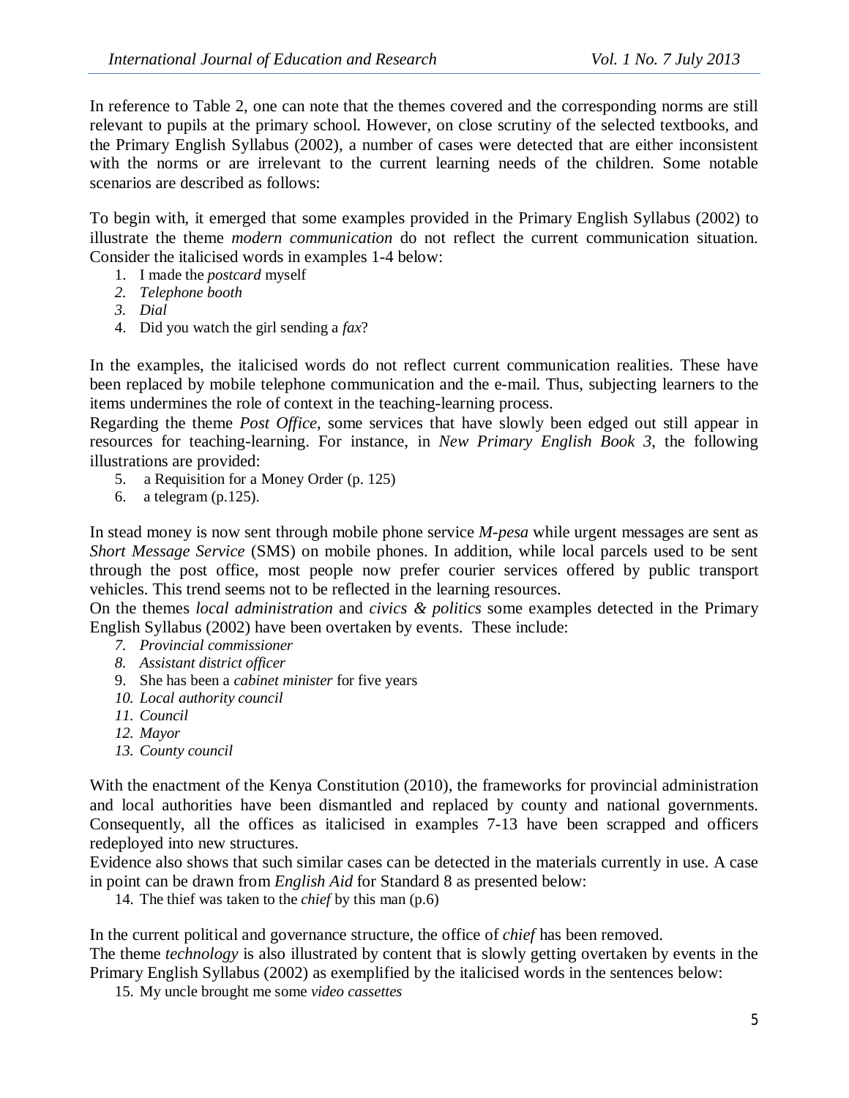In reference to Table 2, one can note that the themes covered and the corresponding norms are still relevant to pupils at the primary school. However, on close scrutiny of the selected textbooks, and the Primary English Syllabus (2002), a number of cases were detected that are either inconsistent with the norms or are irrelevant to the current learning needs of the children. Some notable scenarios are described as follows:

To begin with, it emerged that some examples provided in the Primary English Syllabus (2002) to illustrate the theme *modern communication* do not reflect the current communication situation. Consider the italicised words in examples 1-4 below:

- 1. I made the *postcard* myself
- *2. Telephone booth*
- *3. Dial*
- 4. Did you watch the girl sending a *fax*?

In the examples, the italicised words do not reflect current communication realities. These have been replaced by mobile telephone communication and the e-mail. Thus, subjecting learners to the items undermines the role of context in the teaching-learning process.

Regarding the theme *Post Office*, some services that have slowly been edged out still appear in resources for teaching-learning. For instance, in *New Primary English Book 3*, the following illustrations are provided:

- 5. a Requisition for a Money Order (p. 125)
- 6. a telegram (p.125).

In stead money is now sent through mobile phone service *M-pesa* while urgent messages are sent as *Short Message Service* (SMS) on mobile phones. In addition, while local parcels used to be sent through the post office, most people now prefer courier services offered by public transport vehicles. This trend seems not to be reflected in the learning resources.

On the themes *local administration* and *civics & politics* some examples detected in the Primary English Syllabus (2002) have been overtaken by events. These include:

- *7. Provincial commissioner*
- *8. Assistant district officer*
- 9. She has been a *cabinet minister* for five years
- *10. Local authority council*
- *11. Council*
- *12. Mayor*
- *13. County council*

With the enactment of the Kenya Constitution (2010), the frameworks for provincial administration and local authorities have been dismantled and replaced by county and national governments. Consequently, all the offices as italicised in examples 7-13 have been scrapped and officers redeployed into new structures.

Evidence also shows that such similar cases can be detected in the materials currently in use. A case in point can be drawn from *English Aid* for Standard 8 as presented below:

14. The thief was taken to the *chief* by this man (p.6)

In the current political and governance structure, the office of *chief* has been removed. The theme *technology* is also illustrated by content that is slowly getting overtaken by events in the Primary English Syllabus (2002) as exemplified by the italicised words in the sentences below:

15. My uncle brought me some *video cassettes*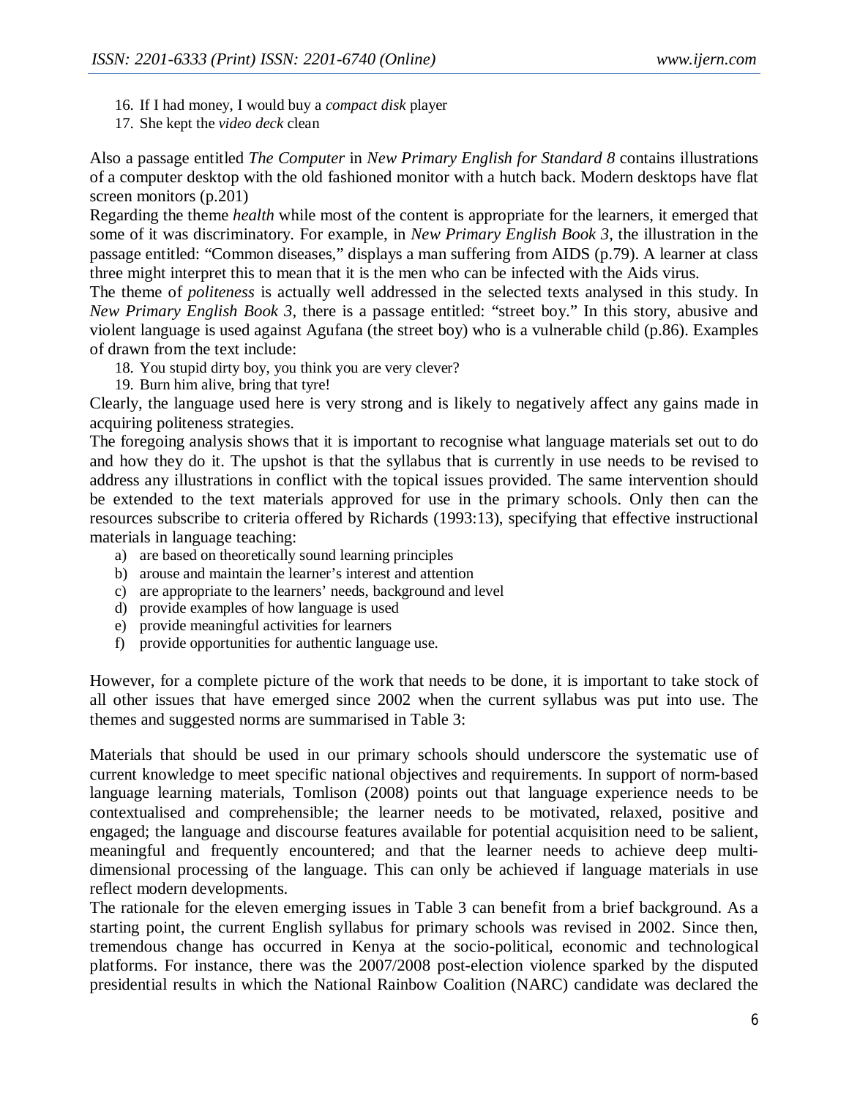- 16. If I had money, I would buy a *compact disk* player
- 17. She kept the *video deck* clean

Also a passage entitled *The Computer* in *New Primary English for Standard 8* contains illustrations of a computer desktop with the old fashioned monitor with a hutch back. Modern desktops have flat screen monitors (p.201)

Regarding the theme *health* while most of the content is appropriate for the learners, it emerged that some of it was discriminatory. For example, in *New Primary English Book 3*, the illustration in the passage entitled: "Common diseases," displays a man suffering from AIDS (p.79). A learner at class three might interpret this to mean that it is the men who can be infected with the Aids virus.

The theme of *politeness* is actually well addressed in the selected texts analysed in this study. In *New Primary English Book 3*, there is a passage entitled: "street boy." In this story, abusive and violent language is used against Agufana (the street boy) who is a vulnerable child (p.86). Examples of drawn from the text include:

- 18. You stupid dirty boy, you think you are very clever?
- 19. Burn him alive, bring that tyre!

Clearly, the language used here is very strong and is likely to negatively affect any gains made in acquiring politeness strategies.

The foregoing analysis shows that it is important to recognise what language materials set out to do and how they do it. The upshot is that the syllabus that is currently in use needs to be revised to address any illustrations in conflict with the topical issues provided. The same intervention should be extended to the text materials approved for use in the primary schools. Only then can the resources subscribe to criteria offered by Richards (1993:13), specifying that effective instructional materials in language teaching:

- a) are based on theoretically sound learning principles
- b) arouse and maintain the learner's interest and attention
- c) are appropriate to the learners' needs, background and level
- d) provide examples of how language is used
- e) provide meaningful activities for learners
- f) provide opportunities for authentic language use.

However, for a complete picture of the work that needs to be done, it is important to take stock of all other issues that have emerged since 2002 when the current syllabus was put into use. The themes and suggested norms are summarised in Table 3:

Materials that should be used in our primary schools should underscore the systematic use of current knowledge to meet specific national objectives and requirements. In support of norm-based language learning materials, Tomlison (2008) points out that language experience needs to be contextualised and comprehensible; the learner needs to be motivated, relaxed, positive and engaged; the language and discourse features available for potential acquisition need to be salient, meaningful and frequently encountered; and that the learner needs to achieve deep multidimensional processing of the language. This can only be achieved if language materials in use reflect modern developments.

The rationale for the eleven emerging issues in Table 3 can benefit from a brief background. As a starting point, the current English syllabus for primary schools was revised in 2002. Since then, tremendous change has occurred in Kenya at the socio-political, economic and technological platforms. For instance, there was the 2007/2008 post-election violence sparked by the disputed presidential results in which the National Rainbow Coalition (NARC) candidate was declared the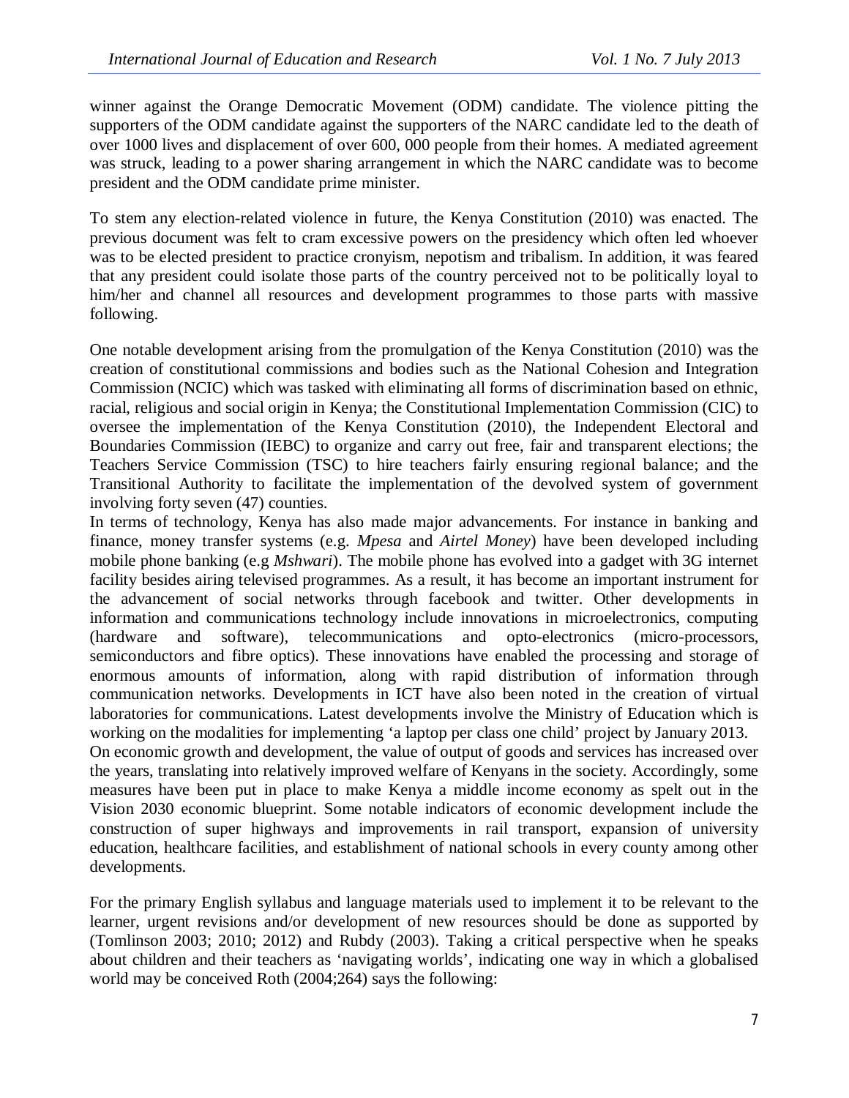winner against the Orange Democratic Movement (ODM) candidate. The violence pitting the supporters of the ODM candidate against the supporters of the NARC candidate led to the death of over 1000 lives and displacement of over 600, 000 people from their homes. A mediated agreement was struck, leading to a power sharing arrangement in which the NARC candidate was to become president and the ODM candidate prime minister.

To stem any election-related violence in future, the Kenya Constitution (2010) was enacted. The previous document was felt to cram excessive powers on the presidency which often led whoever was to be elected president to practice cronyism, nepotism and tribalism. In addition, it was feared that any president could isolate those parts of the country perceived not to be politically loyal to him/her and channel all resources and development programmes to those parts with massive following.

One notable development arising from the promulgation of the Kenya Constitution (2010) was the creation of constitutional commissions and bodies such as the National Cohesion and Integration Commission (NCIC) which was tasked with eliminating all forms of discrimination based on ethnic, racial, religious and social origin in Kenya; the Constitutional Implementation Commission (CIC) to oversee the implementation of the Kenya Constitution (2010), the Independent Electoral and Boundaries Commission (IEBC) to organize and carry out free, fair and transparent elections; the Teachers Service Commission (TSC) to hire teachers fairly ensuring regional balance; and the Transitional Authority to facilitate the implementation of the devolved system of government involving forty seven (47) counties.

In terms of technology, Kenya has also made major advancements. For instance in banking and finance, money transfer systems (e.g. *Mpesa* and *Airtel Money*) have been developed including mobile phone banking (e.g *Mshwari*). The mobile phone has evolved into a gadget with 3G internet facility besides airing televised programmes. As a result, it has become an important instrument for the advancement of social networks through facebook and twitter. Other developments in information and communications technology include innovations in microelectronics, computing (hardware and software), telecommunications and opto-electronics (micro-processors, semiconductors and fibre optics). These innovations have enabled the processing and storage of enormous amounts of information, along with rapid distribution of information through communication networks. Developments in ICT have also been noted in the creation of virtual laboratories for communications. Latest developments involve the Ministry of Education which is working on the modalities for implementing 'a laptop per class one child' project by January 2013.

On economic growth and development, the value of output of goods and services has increased over the years, translating into relatively improved welfare of Kenyans in the society. Accordingly, some measures have been put in place to make Kenya a middle income economy as spelt out in the Vision 2030 economic blueprint. Some notable indicators of economic development include the construction of super highways and improvements in rail transport, expansion of university education, healthcare facilities, and establishment of national schools in every county among other developments.

For the primary English syllabus and language materials used to implement it to be relevant to the learner, urgent revisions and/or development of new resources should be done as supported by (Tomlinson 2003; 2010; 2012) and Rubdy (2003). Taking a critical perspective when he speaks about children and their teachers as 'navigating worlds', indicating one way in which a globalised world may be conceived Roth (2004;264) says the following: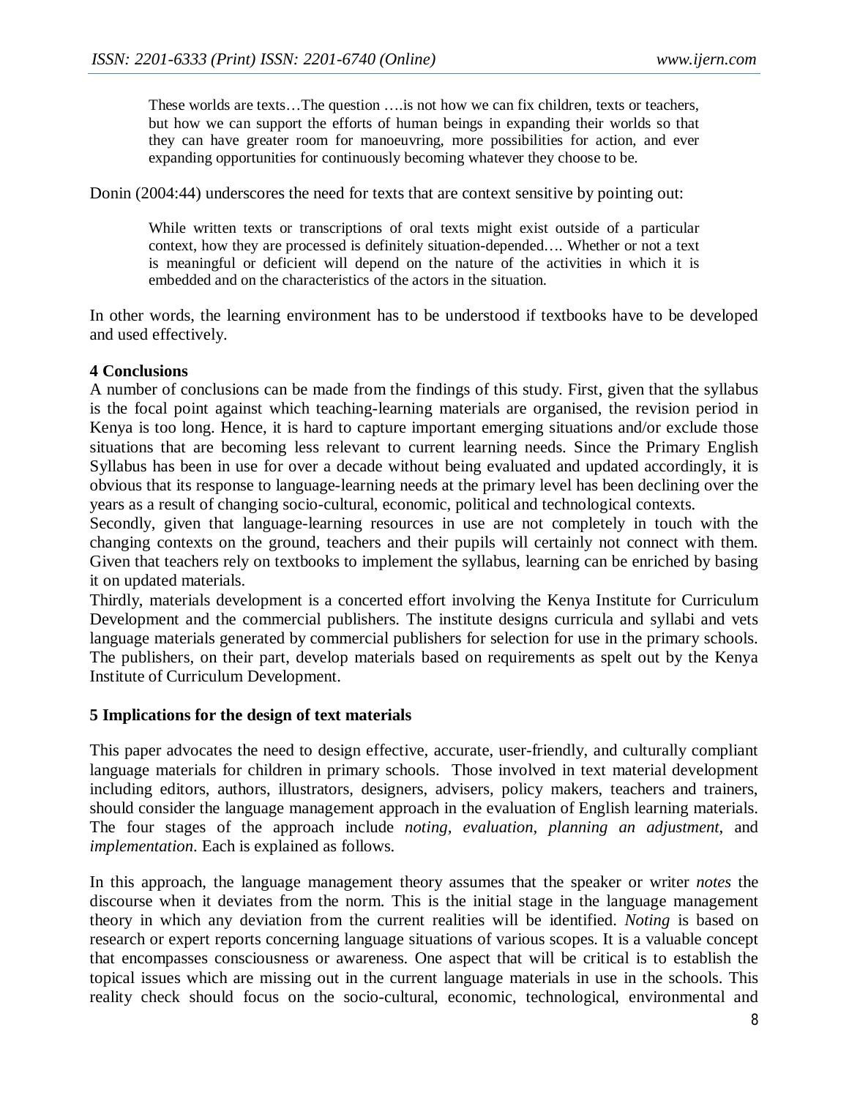These worlds are texts…The question ….is not how we can fix children, texts or teachers, but how we can support the efforts of human beings in expanding their worlds so that they can have greater room for manoeuvring, more possibilities for action, and ever expanding opportunities for continuously becoming whatever they choose to be.

Donin (2004:44) underscores the need for texts that are context sensitive by pointing out:

While written texts or transcriptions of oral texts might exist outside of a particular context, how they are processed is definitely situation-depended…. Whether or not a text is meaningful or deficient will depend on the nature of the activities in which it is embedded and on the characteristics of the actors in the situation.

In other words, the learning environment has to be understood if textbooks have to be developed and used effectively.

#### **4 Conclusions**

A number of conclusions can be made from the findings of this study. First, given that the syllabus is the focal point against which teaching-learning materials are organised, the revision period in Kenya is too long. Hence, it is hard to capture important emerging situations and/or exclude those situations that are becoming less relevant to current learning needs. Since the Primary English Syllabus has been in use for over a decade without being evaluated and updated accordingly, it is obvious that its response to language-learning needs at the primary level has been declining over the years as a result of changing socio-cultural, economic, political and technological contexts.

Secondly, given that language-learning resources in use are not completely in touch with the changing contexts on the ground, teachers and their pupils will certainly not connect with them. Given that teachers rely on textbooks to implement the syllabus, learning can be enriched by basing it on updated materials.

Thirdly, materials development is a concerted effort involving the Kenya Institute for Curriculum Development and the commercial publishers. The institute designs curricula and syllabi and vets language materials generated by commercial publishers for selection for use in the primary schools. The publishers, on their part, develop materials based on requirements as spelt out by the Kenya Institute of Curriculum Development.

#### **5 Implications for the design of text materials**

This paper advocates the need to design effective, accurate, user-friendly, and culturally compliant language materials for children in primary schools. Those involved in text material development including editors, authors, illustrators, designers, advisers, policy makers, teachers and trainers, should consider the language management approach in the evaluation of English learning materials. The four stages of the approach include *noting, evaluation, planning an adjustment*, and *implementation*. Each is explained as follows.

In this approach, the language management theory assumes that the speaker or writer *notes* the discourse when it deviates from the norm. This is the initial stage in the language management theory in which any deviation from the current realities will be identified. *Noting* is based on research or expert reports concerning language situations of various scopes. It is a valuable concept that encompasses consciousness or awareness. One aspect that will be critical is to establish the topical issues which are missing out in the current language materials in use in the schools. This reality check should focus on the socio-cultural, economic, technological, environmental and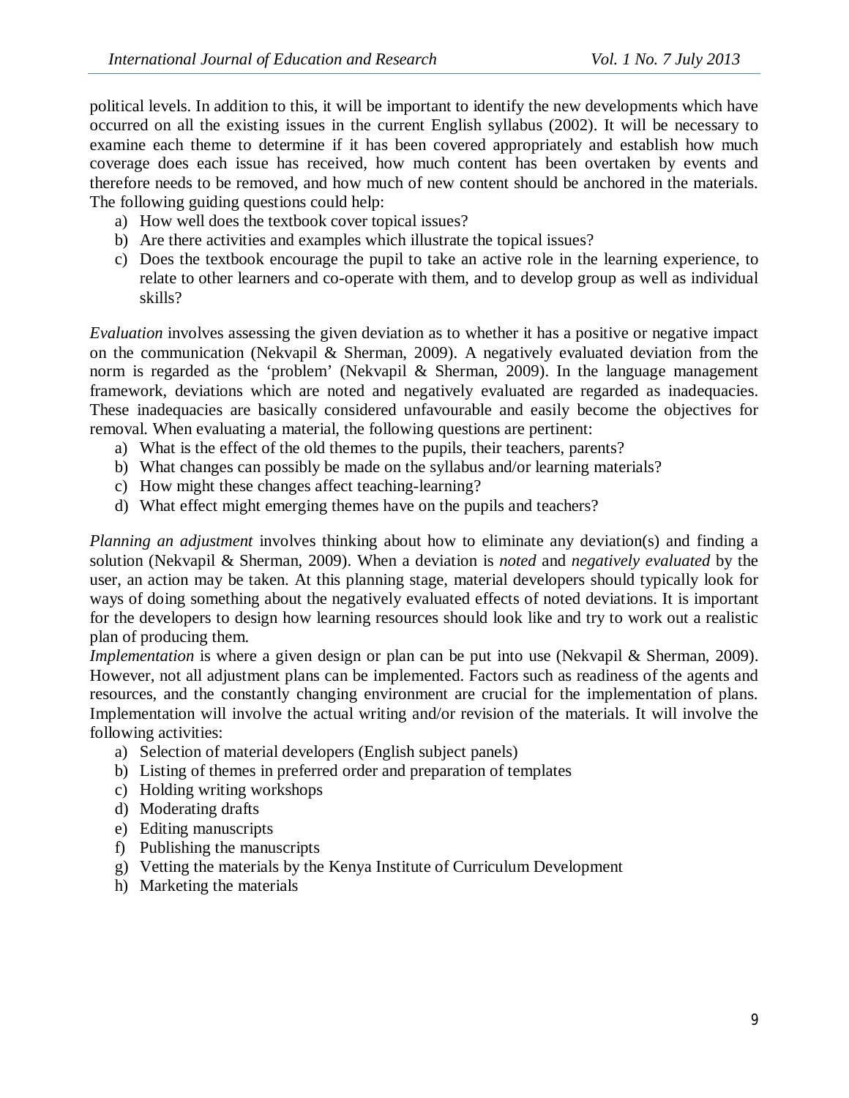political levels. In addition to this, it will be important to identify the new developments which have occurred on all the existing issues in the current English syllabus (2002). It will be necessary to examine each theme to determine if it has been covered appropriately and establish how much coverage does each issue has received, how much content has been overtaken by events and therefore needs to be removed, and how much of new content should be anchored in the materials. The following guiding questions could help:

- a) How well does the textbook cover topical issues?
- b) Are there activities and examples which illustrate the topical issues?
- c) Does the textbook encourage the pupil to take an active role in the learning experience, to relate to other learners and co-operate with them, and to develop group as well as individual skills?

*Evaluation* involves assessing the given deviation as to whether it has a positive or negative impact on the communication (Nekvapil & Sherman, 2009). A negatively evaluated deviation from the norm is regarded as the 'problem' (Nekvapil & Sherman, 2009). In the language management framework, deviations which are noted and negatively evaluated are regarded as inadequacies. These inadequacies are basically considered unfavourable and easily become the objectives for removal. When evaluating a material, the following questions are pertinent:

- a) What is the effect of the old themes to the pupils, their teachers, parents?
- b) What changes can possibly be made on the syllabus and/or learning materials?
- c) How might these changes affect teaching-learning?
- d) What effect might emerging themes have on the pupils and teachers?

*Planning an adjustment* involves thinking about how to eliminate any deviation(s) and finding a solution (Nekvapil & Sherman, 2009). When a deviation is *noted* and *negatively evaluated* by the user, an action may be taken. At this planning stage, material developers should typically look for ways of doing something about the negatively evaluated effects of noted deviations. It is important for the developers to design how learning resources should look like and try to work out a realistic plan of producing them.

*Implementation* is where a given design or plan can be put into use (Nekvapil & Sherman, 2009). However, not all adjustment plans can be implemented. Factors such as readiness of the agents and resources, and the constantly changing environment are crucial for the implementation of plans. Implementation will involve the actual writing and/or revision of the materials. It will involve the following activities:

- a) Selection of material developers (English subject panels)
- b) Listing of themes in preferred order and preparation of templates
- c) Holding writing workshops
- d) Moderating drafts
- e) Editing manuscripts
- f) Publishing the manuscripts
- g) Vetting the materials by the Kenya Institute of Curriculum Development
- h) Marketing the materials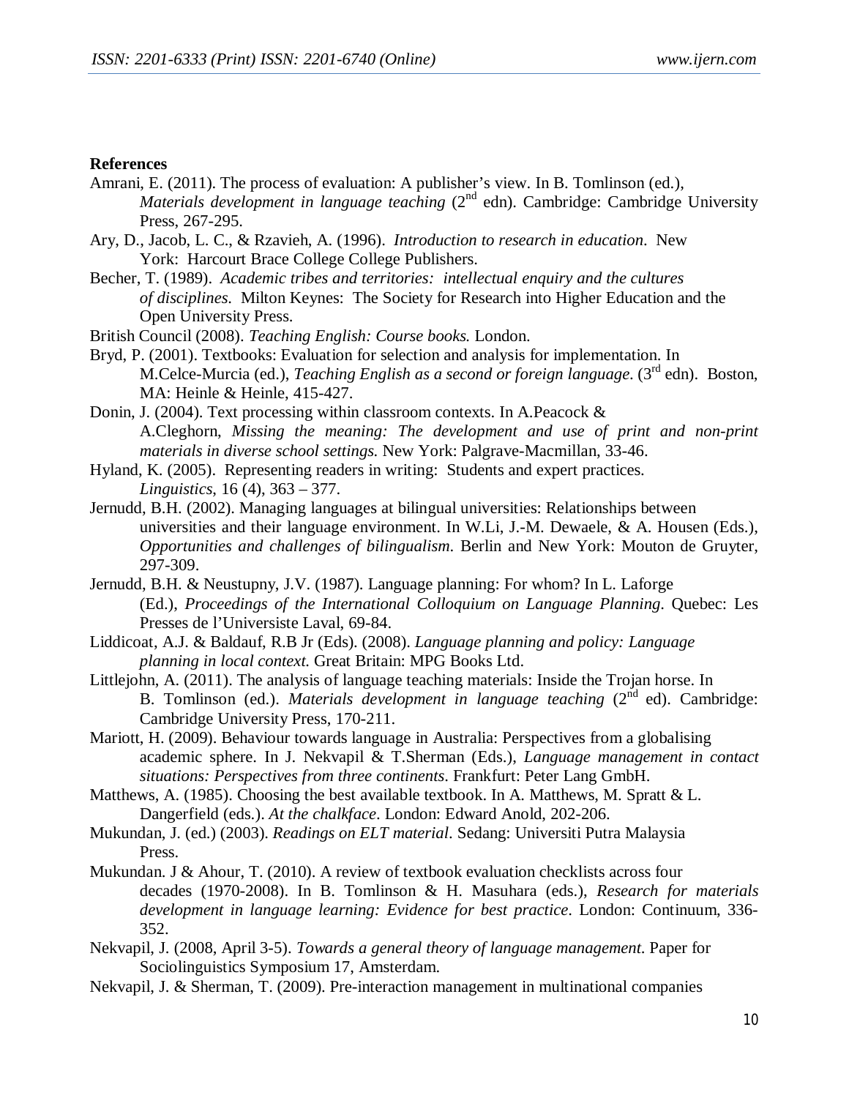#### **References**

- Amrani, E. (2011). The process of evaluation: A publisher's view. In B. Tomlinson (ed.), *Materials development in language teaching (2<sup>nd</sup> edn). Cambridge: Cambridge University* Press, 267-295.
- Ary, D., Jacob, L. C., & Rzavieh, A. (1996). *Introduction to research in education*. New York: Harcourt Brace College College Publishers.
- Becher, T. (1989). *Academic tribes and territories: intellectual enquiry and the cultures of disciplines*. Milton Keynes: The Society for Research into Higher Education and the Open University Press.
- British Council (2008). *Teaching English: Course books.* London.
- Bryd, P. (2001). Textbooks: Evaluation for selection and analysis for implementation. In M.Celce-Murcia (ed.), *Teaching English as a second or foreign language*. (3rd edn). Boston, MA: Heinle & Heinle, 415-427.
- Donin, J. (2004). Text processing within classroom contexts. In A.Peacock & A.Cleghorn, *Missing the meaning: The development and use of print and non-print materials in diverse school settings.* New York: Palgrave-Macmillan, 33-46.
- Hyland, K. (2005). Representing readers in writing: Students and expert practices. *Linguistics*, 16 (4), 363 – 377.
- Jernudd, B.H. (2002). Managing languages at bilingual universities: Relationships between universities and their language environment. In W.Li, J.-M. Dewaele, & A. Housen (Eds.), *Opportunities and challenges of bilingualism*. Berlin and New York: Mouton de Gruyter, 297-309.
- Jernudd, B.H. & Neustupny, J.V. (1987). Language planning: For whom? In L. Laforge (Ed.), *Proceedings of the International Colloquium on Language Planning*. Quebec: Les Presses de l'Universiste Laval, 69-84.
- Liddicoat, A.J. & Baldauf, R.B Jr (Eds). (2008). *Language planning and policy: Language planning in local context.* Great Britain: MPG Books Ltd.
- Littlejohn, A. (2011). The analysis of language teaching materials: Inside the Trojan horse. In B. Tomlinson (ed.). *Materials development in language teaching* (2<sup>nd</sup> ed). Cambridge: Cambridge University Press, 170-211.
- Mariott, H. (2009). Behaviour towards language in Australia: Perspectives from a globalising academic sphere. In J. Nekvapil & T.Sherman (Eds.), *Language management in contact situations: Perspectives from three continents*. Frankfurt: Peter Lang GmbH.
- Matthews, A. (1985). Choosing the best available textbook. In A. Matthews, M. Spratt & L. Dangerfield (eds.). *At the chalkface*. London: Edward Anold, 202-206.
- Mukundan, J. (ed.) (2003). *Readings on ELT material*. Sedang: Universiti Putra Malaysia Press.
- Mukundan. J & Ahour, T. (2010). A review of textbook evaluation checklists across four decades (1970-2008). In B. Tomlinson & H. Masuhara (eds.), *Research for materials development in language learning: Evidence for best practice*. London: Continuum, 336- 352.
- Nekvapil, J. (2008, April 3-5). *Towards a general theory of language management*. Paper for Sociolinguistics Symposium 17, Amsterdam.
- Nekvapil, J. & Sherman, T. (2009). Pre-interaction management in multinational companies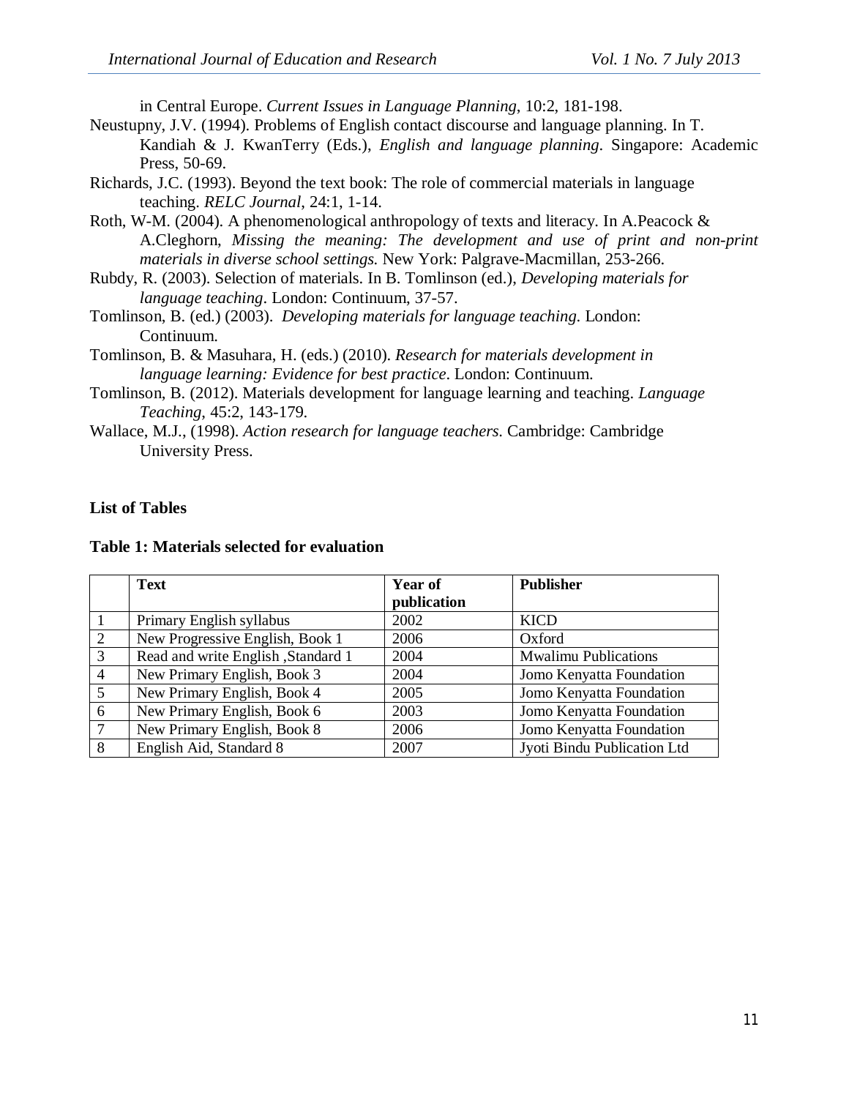in Central Europe. *Current Issues in Language Planning*, 10:2, 181-198.

- Neustupny, J.V. (1994). Problems of English contact discourse and language planning. In T. Kandiah & J. KwanTerry (Eds.), *English and language planning*. Singapore: Academic Press, 50-69.
- Richards, J.C. (1993). Beyond the text book: The role of commercial materials in language teaching. *RELC Journal*, 24:1, 1-14.
- Roth, W-M. (2004). A phenomenological anthropology of texts and literacy. In A.Peacock & A.Cleghorn, *Missing the meaning: The development and use of print and non-print materials in diverse school settings.* New York: Palgrave-Macmillan, 253-266.
- Rubdy, R. (2003). Selection of materials. In B. Tomlinson (ed.), *Developing materials for language teaching*. London: Continuum, 37-57.
- Tomlinson, B. (ed.) (2003). *Developing materials for language teaching*. London: Continuum.
- Tomlinson, B. & Masuhara, H. (eds.) (2010). *Research for materials development in language learning: Evidence for best practice*. London: Continuum.
- Tomlinson, B. (2012). Materials development for language learning and teaching. *Language Teaching*, 45:2, 143-179.
- Wallace, M.J., (1998). *Action research for language teachers*. Cambridge: Cambridge University Press.

# **List of Tables**

### **Table 1: Materials selected for evaluation**

|                | <b>Text</b>                        | <b>Year of</b> | <b>Publisher</b>            |
|----------------|------------------------------------|----------------|-----------------------------|
|                |                                    | publication    |                             |
|                | Primary English syllabus           | 2002           | <b>KICD</b>                 |
| $\overline{2}$ | New Progressive English, Book 1    | 2006           | Oxford                      |
| 3              | Read and write English, Standard 1 | 2004           | <b>Mwalimu Publications</b> |
| $\overline{4}$ | New Primary English, Book 3        | 2004           | Jomo Kenyatta Foundation    |
| 5              | New Primary English, Book 4        | 2005           | Jomo Kenyatta Foundation    |
| 6              | New Primary English, Book 6        | 2003           | Jomo Kenyatta Foundation    |
| $\tau$         | New Primary English, Book 8        | 2006           | Jomo Kenyatta Foundation    |
| 8              | English Aid, Standard 8            | 2007           | Jyoti Bindu Publication Ltd |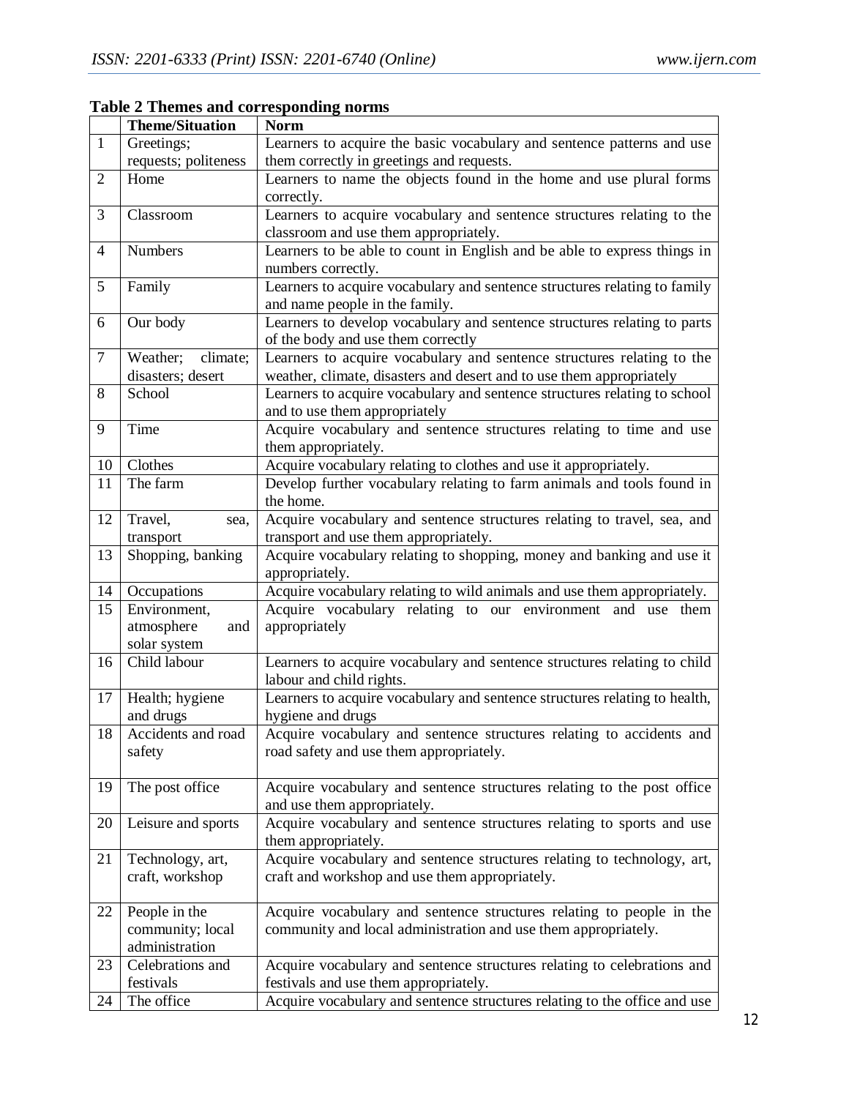|                | <b>Theme/Situation</b> | <b>Norm</b>                                                                |
|----------------|------------------------|----------------------------------------------------------------------------|
| $\mathbf{1}$   | Greetings;             | Learners to acquire the basic vocabulary and sentence patterns and use     |
|                | requests; politeness   | them correctly in greetings and requests.                                  |
| $\overline{2}$ | Home                   | Learners to name the objects found in the home and use plural forms        |
|                |                        | correctly.                                                                 |
| 3              | Classroom              | Learners to acquire vocabulary and sentence structures relating to the     |
|                |                        | classroom and use them appropriately.                                      |
| $\overline{4}$ | <b>Numbers</b>         | Learners to be able to count in English and be able to express things in   |
|                |                        | numbers correctly.                                                         |
| 5              | Family                 | Learners to acquire vocabulary and sentence structures relating to family  |
|                |                        | and name people in the family.                                             |
| 6              | Our body               | Learners to develop vocabulary and sentence structures relating to parts   |
|                |                        | of the body and use them correctly                                         |
| $\tau$         | Weather;<br>climate;   | Learners to acquire vocabulary and sentence structures relating to the     |
|                | disasters; desert      | weather, climate, disasters and desert and to use them appropriately       |
| 8              | School                 | Learners to acquire vocabulary and sentence structures relating to school  |
|                |                        | and to use them appropriately                                              |
| 9              | Time                   | Acquire vocabulary and sentence structures relating to time and use        |
|                |                        | them appropriately.                                                        |
| 10             | Clothes                | Acquire vocabulary relating to clothes and use it appropriately.           |
| 11             | The farm               | Develop further vocabulary relating to farm animals and tools found in     |
|                |                        | the home.                                                                  |
| 12             | Travel,<br>sea,        | Acquire vocabulary and sentence structures relating to travel, sea, and    |
|                | transport              | transport and use them appropriately.                                      |
| 13             | Shopping, banking      | Acquire vocabulary relating to shopping, money and banking and use it      |
|                |                        | appropriately.                                                             |
| 14             | Occupations            | Acquire vocabulary relating to wild animals and use them appropriately.    |
| 15             | Environment,           | Acquire vocabulary relating to our environment and use them                |
|                | atmosphere<br>and      | appropriately                                                              |
|                | solar system           |                                                                            |
| 16             | Child labour           | Learners to acquire vocabulary and sentence structures relating to child   |
|                |                        | labour and child rights.                                                   |
| 17             | Health; hygiene        | Learners to acquire vocabulary and sentence structures relating to health, |
|                | and drugs              | hygiene and drugs                                                          |
| 18             | Accidents and road     | Acquire vocabulary and sentence structures relating to accidents and       |
|                | safety                 | road safety and use them appropriately.                                    |
|                |                        |                                                                            |
| 19             | The post office        | Acquire vocabulary and sentence structures relating to the post office     |
|                |                        | and use them appropriately.                                                |
| 20             | Leisure and sports     | Acquire vocabulary and sentence structures relating to sports and use      |
|                |                        | them appropriately.                                                        |
| 21             | Technology, art,       | Acquire vocabulary and sentence structures relating to technology, art,    |
|                | craft, workshop        | craft and workshop and use them appropriately.                             |
|                |                        |                                                                            |
| 22             | People in the          | Acquire vocabulary and sentence structures relating to people in the       |
|                | community; local       | community and local administration and use them appropriately.             |
|                | administration         |                                                                            |
| 23             | Celebrations and       | Acquire vocabulary and sentence structures relating to celebrations and    |
|                | festivals              | festivals and use them appropriately.                                      |
| 24             | The office             | Acquire vocabulary and sentence structures relating to the office and use  |

**Table 2 Themes and corresponding norms**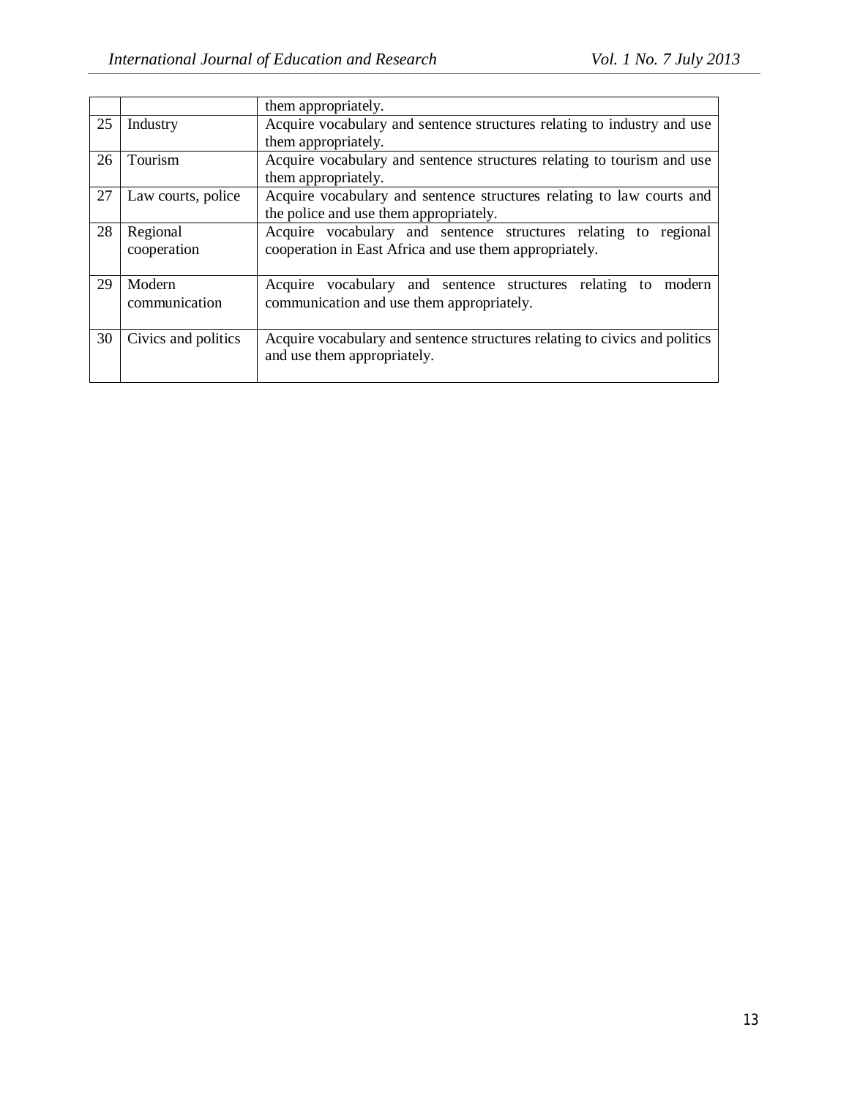|    |                     | them appropriately.                                                        |  |
|----|---------------------|----------------------------------------------------------------------------|--|
| 25 | Industry            | Acquire vocabulary and sentence structures relating to industry and use    |  |
|    |                     | them appropriately.                                                        |  |
| 26 | Tourism             | Acquire vocabulary and sentence structures relating to tourism and use     |  |
|    |                     | them appropriately.                                                        |  |
| 27 | Law courts, police  | Acquire vocabulary and sentence structures relating to law courts and      |  |
|    |                     | the police and use them appropriately.                                     |  |
| 28 | Regional            | Acquire vocabulary and sentence structures relating to regional            |  |
|    | cooperation         | cooperation in East Africa and use them appropriately.                     |  |
|    |                     |                                                                            |  |
| 29 | Modern              | Acquire vocabulary and sentence structures relating to<br>modern           |  |
|    | communication       | communication and use them appropriately.                                  |  |
|    |                     |                                                                            |  |
| 30 | Civics and politics | Acquire vocabulary and sentence structures relating to civics and politics |  |
|    |                     | and use them appropriately.                                                |  |
|    |                     |                                                                            |  |